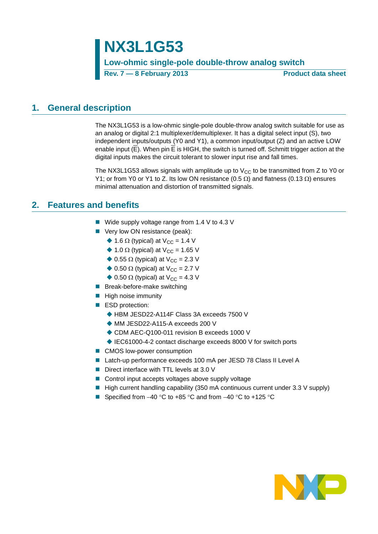**NX3L1G53 Low-ohmic single-pole double-throw analog switch Rev. 7 — 8 February 2013 Product data sheet**

### <span id="page-0-0"></span>**1. General description**

The NX3L1G53 is a low-ohmic single-pole double-throw analog switch suitable for use as an analog or digital 2:1 multiplexer/demultiplexer. It has a digital select input (S), two independent inputs/outputs (Y0 and Y1), a common input/output (Z) and an active LOW enable input (E). When pin E is HIGH, the switch is turned off. Schmitt trigger action at the digital inputs makes the circuit tolerant to slower input rise and fall times.

The NX3L1G53 allows signals with amplitude up to  $V_{CC}$  to be transmitted from Z to Y0 or Y1; or from Y0 or Y1 to Z. Its low ON resistance (0.5  $\Omega$ ) and flatness (0.13  $\Omega$ ) ensures minimal attenuation and distortion of transmitted signals.

### <span id="page-0-1"></span>**2. Features and benefits**

- $\blacksquare$  Wide supply voltage range from 1.4 V to 4.3 V
- Very low ON resistance (peak):
	- $\triangle$  1.6  $\Omega$  (typical) at V<sub>CC</sub> = 1.4 V
	- $\triangle$  1.0  $\Omega$  (typical) at V<sub>CC</sub> = 1.65 V
	- $\triangle$  0.55  $\Omega$  (typical) at V<sub>CC</sub> = 2.3 V
	- $\triangle$  0.50  $\Omega$  (typical) at V<sub>CC</sub> = 2.7 V
	- $\triangle$  0.50  $\Omega$  (typical) at V<sub>CC</sub> = 4.3 V
- **Break-before-make switching**
- $\blacksquare$  High noise immunity
- ESD protection:
	- ◆ HBM JESD22-A114F Class 3A exceeds 7500 V
	- ◆ MM JESD22-A115-A exceeds 200 V
	- ◆ CDM AEC-Q100-011 revision B exceeds 1000 V
	- ◆ IEC61000-4-2 contact discharge exceeds 8000 V for switch ports
- CMOS low-power consumption
- Latch-up performance exceeds 100 mA per JESD 78 Class II Level A
- Direct interface with TTL levels at 3.0 V
- Control input accepts voltages above supply voltage
- High current handling capability (350 mA continuous current under 3.3 V supply)
- Specified from  $-40$  °C to  $+85$  °C and from  $-40$  °C to  $+125$  °C

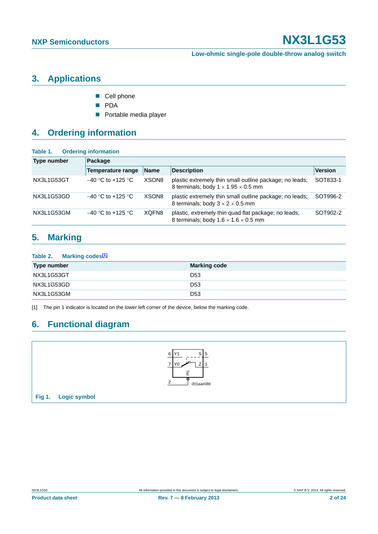### <span id="page-1-1"></span>**3. Applications**

- Cell phone
- **PDA**
- **Portable media player**

## <span id="page-1-2"></span>**4. Ordering information**

### **Table 1. Ordering information**

| Type number | Package              |                   |                                                                                                            |                |  |  |  |  |  |
|-------------|----------------------|-------------------|------------------------------------------------------------------------------------------------------------|----------------|--|--|--|--|--|
|             | Temperature range    | <b>Name</b>       | <b>Description</b>                                                                                         | <b>Version</b> |  |  |  |  |  |
| NX3L1G53GT  | $-40$ °C to +125 °C. | XSON <sub>8</sub> | plastic extremely thin small outline package; no leads;<br>8 terminals; body $1 \times 1.95 \times 0.5$ mm | SOT833-1       |  |  |  |  |  |
| NX3L1G53GD  | $-40$ °C to +125 °C. | XSON <sub>8</sub> | plastic extremely thin small outline package; no leads;<br>8 terminals; body $3 \times 2 \times 0.5$ mm    | SOT996-2       |  |  |  |  |  |
| NX3L1G53GM  | $-40$ °C to +125 °C  | XQFN8             | plastic, extremely thin quad flat package; no leads;<br>8 terminals; body $1.6 \times 1.6 \times 0.5$ mm   | SOT902-2       |  |  |  |  |  |

### <span id="page-1-3"></span>**5. Marking**

#### **Table 2. Marking code[s\[1\]](#page-1-0)**

| <b>Type number</b> | <b>Marking code</b> |
|--------------------|---------------------|
| NX3L1G53GT         | D <sub>53</sub>     |
| NX3L1G53GD         | D <sub>53</sub>     |
| NX3L1G53GM         | D <sub>53</sub>     |

<span id="page-1-0"></span>[1] The pin 1 indicator is located on the lower left corner of the device, below the marking code.

### <span id="page-1-4"></span>**6. Functional diagram**

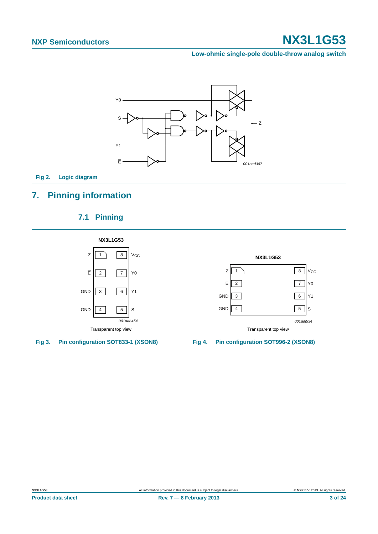**Low-ohmic single-pole double-throw analog switch**



## <span id="page-2-0"></span>**7. Pinning information**

### **7.1 Pinning**

<span id="page-2-1"></span>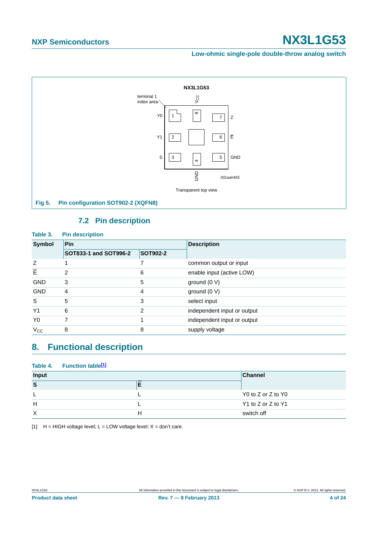**Low-ohmic single-pole double-throw analog switch**



### **7.2 Pin description**

<span id="page-3-1"></span>

| <b>Pin description</b> |                 |                             |
|------------------------|-----------------|-----------------------------|
| Pin                    |                 | <b>Description</b>          |
| SOT833-1 and SOT996-2  | <b>SOT902-2</b> |                             |
|                        |                 | common output or input      |
| 2                      | 6               | enable input (active LOW)   |
| 3                      | 5               | ground (0 V)                |
| 4                      | 4               | ground (0 V)                |
| 5                      | 3               | select input                |
| 6                      | 2               | independent input or output |
|                        |                 | independent input or output |
| 8                      | 8               | supply voltage              |
|                        |                 |                             |

## <span id="page-3-2"></span>**8. Functional description**

|       | Table 4. Function table <sup>[1]</sup> |   |                    |
|-------|----------------------------------------|---|--------------------|
| Input |                                        |   | <b>Channel</b>     |
| S     |                                        |   |                    |
|       |                                        |   | Y0 to Z or Z to Y0 |
| H     |                                        |   | Y1 to Z or Z to Y1 |
| X     |                                        | н | switch off         |

<span id="page-3-0"></span>[1]  $H = HIGH$  voltage level;  $L = LOW$  voltage level;  $X = don't$  care.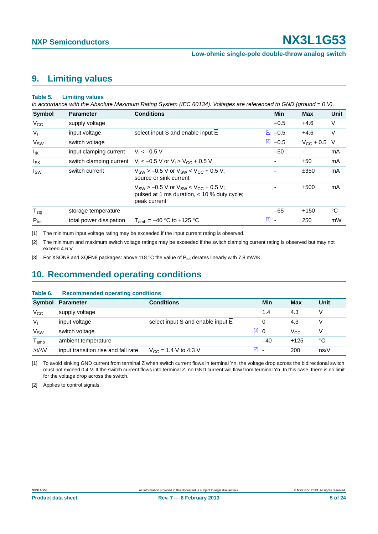**Low-ohmic single-pole double-throw analog switch**

### <span id="page-4-5"></span>**9. Limiting values**

#### **Table 5. Limiting values**

*In accordance with the Absolute Maximum Rating System (IEC 60134). Voltages are referenced to GND (ground = 0 V).*

| <b>Symbol</b>          | <b>Parameter</b>        | <b>Conditions</b>                                                                                                | <b>Min</b>                              | <b>Max</b>       | Unit |
|------------------------|-------------------------|------------------------------------------------------------------------------------------------------------------|-----------------------------------------|------------------|------|
| $V_{\rm CC}$           | supply voltage          |                                                                                                                  | $-0.5$                                  | $+4.6$           | V    |
| $V_{\parallel}$        | input voltage           | select input S and enable input E                                                                                | <u>[1]</u><br>$-0.5$                    | $+4.6$           | V    |
| V <sub>SW</sub>        | switch voltage          |                                                                                                                  | $\boxed{2}$<br>$-0.5$                   | $V_{CC}$ + 0.5 V |      |
| $I_{IK}$               | input clamping current  | $V_1 < -0.5 V$                                                                                                   | $-50$                                   | -                | mA   |
| <b>I</b> <sub>SK</sub> |                         | switch clamping current $V_1 < -0.5$ V or $V_1 > V_{CC} + 0.5$ V                                                 |                                         | ±50              | mA   |
| <sub>sw</sub>          | switch current          | $V_{\text{SW}}$ > -0.5 V or $V_{\text{SW}}$ < $V_{\text{CC}}$ + 0.5 V;<br>source or sink current                 |                                         | ±350             | mA   |
|                        |                         | $V_{SW}$ > -0.5 V or $V_{SW}$ < $V_{CC}$ + 0.5 V;<br>pulsed at 1 ms duration, < 10 % duty cycle;<br>peak current |                                         | ±500             | mA   |
| $T_{\text{stg}}$       | storage temperature     |                                                                                                                  | $-65$                                   | $+150$           | °C   |
| $P_{\text{tot}}$       | total power dissipation | $T_{amb} = -40$ °C to +125 °C                                                                                    | $\boxed{3}$<br>$\overline{\phantom{a}}$ | 250              | mW   |

<span id="page-4-0"></span>[1] The minimum input voltage rating may be exceeded if the input current rating is observed.

<span id="page-4-1"></span>[2] The minimum and maximum switch voltage ratings may be exceeded if the switch clamping current rating is observed but may not exceed 4.6 V.

<span id="page-4-2"></span>[3] For XSON8 and XQFN8 packages: above 118 °C the value of P<sub>tot</sub> derates linearly with 7.8 mW/K.

### <span id="page-4-6"></span>**10. Recommended operating conditions**

#### **Table 6. Recommended operating conditions**

|                             | Symbol Parameter                    | <b>Conditions</b>                 | Min                                 | Max          | Unit |
|-----------------------------|-------------------------------------|-----------------------------------|-------------------------------------|--------------|------|
| $V_{\rm CC}$                | supply voltage                      |                                   | 1.4                                 | 4.3          | V    |
| $V_{1}$                     | input voltage                       | select input S and enable input E |                                     | 4.3          | V    |
| <b>V<sub>SW</sub></b>       | switch voltage                      |                                   | 110                                 | $V_{\rm CC}$ | V    |
| $\mathsf{T}_{\mathsf{amb}}$ | ambient temperature                 |                                   | $-40$                               | $+125$       | °C   |
| $\Delta t/\Delta V$         | input transition rise and fall rate | $V_{CC}$ = 1.4 V to 4.3 V         | $\begin{bmatrix} 2 \end{bmatrix}$ . | 200          | ns/V |

<span id="page-4-3"></span>[1] To avoid sinking GND current from terminal Z when switch current flows in terminal Yn, the voltage drop across the bidirectional switch must not exceed 0.4 V. If the switch current flows into terminal Z, no GND current will flow from terminal Yn. In this case, there is no limit for the voltage drop across the switch.

<span id="page-4-4"></span>[2] Applies to control signals.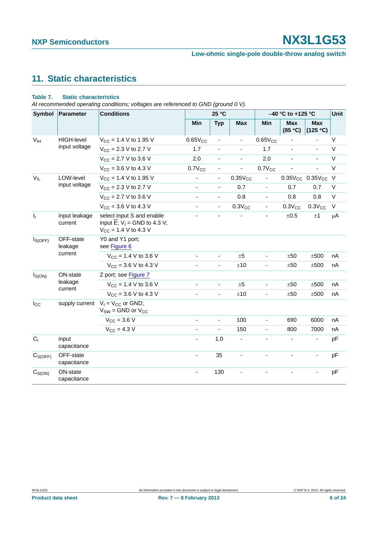## <span id="page-5-0"></span>**11. Static characteristics**

#### **Table 7. Static characteristics**

*At recommended operating conditions; voltages are referenced to GND (ground 0 V).*

| Symbol                               | <b>Parameter</b>          | <b>Conditions</b>                                                                                               |                          | 25 °C                        |                          | -40 °C to +125 °C        | Unit                  |                              |        |
|--------------------------------------|---------------------------|-----------------------------------------------------------------------------------------------------------------|--------------------------|------------------------------|--------------------------|--------------------------|-----------------------|------------------------------|--------|
|                                      |                           |                                                                                                                 | Min                      | <b>Typ</b>                   | <b>Max</b>               | Min                      | <b>Max</b><br>(85 °C) | <b>Max</b><br>(125 °C)       |        |
| V <sub>IH</sub>                      | <b>HIGH-level</b>         | $V_{CC}$ = 1.4 V to 1.95 V                                                                                      | $0.65V_{CC}$             | $\overline{\phantom{0}}$     |                          | $0.65V_{CC}$             |                       |                              | V      |
| input voltage                        | $V_{CC}$ = 2.3 V to 2.7 V | 1.7                                                                                                             | ÷,                       | ä,                           | 1.7                      | ÷.                       | ä,                    | $\vee$                       |        |
|                                      |                           | $V_{CC}$ = 2.7 V to 3.6 V                                                                                       | 2.0                      | $\overline{\phantom{a}}$     | $\overline{\phantom{a}}$ | 2.0                      | ä,                    | $\blacksquare$               | $\vee$ |
|                                      |                           | $V_{CC}$ = 3.6 V to 4.3 V                                                                                       | $0.7V_{CC}$              |                              |                          | $0.7V_{CC}$              |                       |                              | $\vee$ |
| $V_{IL}$                             | LOW-level                 | $V_{CC}$ = 1.4 V to 1.95 V                                                                                      | $\overline{\phantom{a}}$ | $\overline{\phantom{a}}$     | $0.35V_{CC}$             | $\blacksquare$           |                       | $0.35V_{CC}$ 0.35 $V_{CC}$ V |        |
|                                      | input voltage             | $V_{CC}$ = 2.3 V to 2.7 V                                                                                       | $\blacksquare$           | $\overline{\phantom{a}}$     | 0.7                      |                          | 0.7                   | 0.7                          | V      |
|                                      |                           | $V_{CC}$ = 2.7 V to 3.6 V                                                                                       | ÷,                       | $\blacksquare$               | 0.8                      | $\blacksquare$           | 0.8                   | 0.8                          | $\vee$ |
|                                      |                           | $V_{CC}$ = 3.6 V to 4.3 V                                                                                       | $\blacksquare$           | $\blacksquare$               | $0.3V_{CC}$              | $\overline{\phantom{a}}$ | $0.3V_{CC}$           | $0.3V_{CC}$                  | $\vee$ |
| $\mathbf{l}_1$                       | input leakage<br>current  | select input S and enable<br>input $\overline{E}$ ; V <sub>1</sub> = GND to 4.3 V;<br>$V_{CC}$ = 1.4 V to 4.3 V |                          |                              |                          |                          | $\pm 0.5$             | ±1                           | μA     |
| OFF-state<br>$I_{S(OFF)}$<br>leakage |                           | Y0 and Y1 port;<br>see Figure 6                                                                                 |                          |                              |                          |                          |                       |                              |        |
|                                      | current                   | $V_{CC}$ = 1.4 V to 3.6 V                                                                                       | ÷,                       | ä,                           | $\pm 5$                  | $\blacksquare$           | ±50                   | ±500                         | nA     |
|                                      |                           | $V_{CC}$ = 3.6 V to 4.3 V                                                                                       | $\overline{\phantom{a}}$ | $\overline{\phantom{a}}$     | ±10                      | $\overline{\phantom{a}}$ | ±50                   | ±500                         | nA     |
| $I_{S(ON)}$                          | ON-state                  | Z port; see Figure 7                                                                                            |                          |                              |                          |                          |                       |                              |        |
|                                      | leakage<br>current        | $V_{CC}$ = 1.4 V to 3.6 V                                                                                       | ä,                       | $\blacksquare$               | ±5                       | $\blacksquare$           | ±50                   | $\pm 500$                    | nA     |
|                                      |                           | $V_{CC}$ = 3.6 V to 4.3 V                                                                                       | ÷,                       | $\qquad \qquad \blacksquare$ | ±10                      |                          | ±50                   | ±500                         | nA     |
| $I_{\rm CC}$                         | supply current            | $V_1 = V_{CC}$ or GND;<br>$V_{SW} =$ GND or $V_{CC}$                                                            |                          |                              |                          |                          |                       |                              |        |
|                                      |                           | $V_{CC} = 3.6 V$                                                                                                | ä,                       | $\blacksquare$               | 100                      | $\blacksquare$           | 690                   | 6000                         | nA     |
|                                      |                           | $V_{CC}$ = 4.3 V                                                                                                |                          | L                            | 150                      | $\blacksquare$           | 800                   | 7000                         | nA     |
| C <sub>1</sub>                       | input<br>capacitance      |                                                                                                                 | $\overline{\phantom{a}}$ | 1.0                          | $\overline{\phantom{a}}$ |                          |                       | $\overline{\phantom{a}}$     | pF     |
| $C_{S(OFF)}$                         | OFF-state<br>capacitance  |                                                                                                                 | ÷,                       | 35                           |                          |                          |                       | ÷,                           | pF     |
| $C_{S(ON)}$                          | ON-state<br>capacitance   |                                                                                                                 | $\blacksquare$           | 130                          |                          |                          |                       |                              | pF     |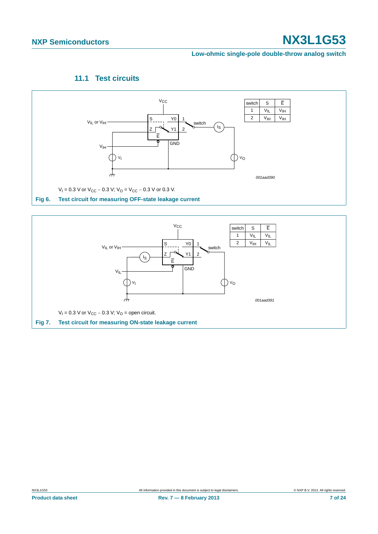**Low-ohmic single-pole double-throw analog switch**

### **11.1 Test circuits**

<span id="page-6-2"></span>

<span id="page-6-1"></span><span id="page-6-0"></span>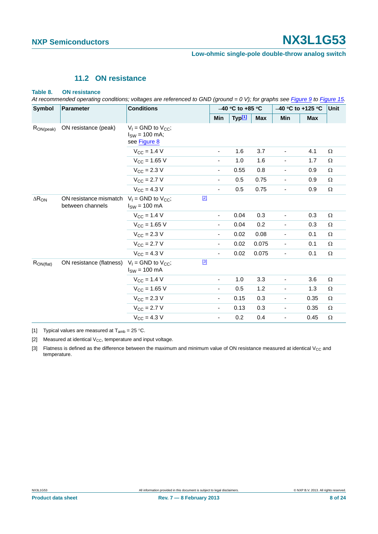### **11.2 ON resistance**

#### <span id="page-7-3"></span>**Table 8. ON resistance**

*At recommended operating conditions; voltages are referenced to GND (ground = 0 V); for graphs see [Figure 9](#page-8-0) to [Figure 15.](#page-10-0)*

| <b>Symbol</b>   | <b>Parameter</b>                           | <b>Conditions</b>                                               |                          | $-40$ °C to +85 °C |        |            | -40 °C to +125 °C        | Unit       |          |
|-----------------|--------------------------------------------|-----------------------------------------------------------------|--------------------------|--------------------|--------|------------|--------------------------|------------|----------|
|                 |                                            |                                                                 | Min                      |                    | Typ[1] | <b>Max</b> | Min                      | <b>Max</b> |          |
| $R_{ON(peak)}$  | ON resistance (peak)                       | $V_1$ = GND to $V_{CC}$ ;<br>$I_{SW}$ = 100 mA;<br>see Figure 8 |                          |                    |        |            |                          |            |          |
|                 |                                            | $V_{CC}$ = 1.4 V                                                | $\overline{\phantom{a}}$ |                    | 1.6    | 3.7        | $\overline{\phantom{a}}$ | 4.1        | $\Omega$ |
|                 |                                            | $V_{CC}$ = 1.65 V                                               | $\overline{\phantom{a}}$ |                    | 1.0    | 1.6        | $\overline{\phantom{a}}$ | 1.7        | Ω        |
|                 |                                            | $V_{\text{CC}} = 2.3 V$                                         | $\overline{\phantom{a}}$ |                    | 0.55   | 0.8        | $\overline{\phantom{a}}$ | 0.9        | $\Omega$ |
|                 |                                            | $V_{\rm CC}$ = 2.7 V                                            | $\overline{\phantom{a}}$ |                    | 0.5    | 0.75       | $\overline{\phantom{a}}$ | 0.9        | $\Omega$ |
|                 |                                            | $V_{\rm CC} = 4.3 V$                                            | $\overline{\phantom{a}}$ |                    | 0.5    | 0.75       |                          | 0.9        | $\Omega$ |
| $\Delta R_{ON}$ | ON resistance mismatch<br>between channels | $V_1$ = GND to $V_{CC}$ ;<br>$ISW = 100 mA$                     | $[2]$                    |                    |        |            |                          |            |          |
|                 |                                            | $V_{CC}$ = 1.4 V                                                | $\overline{\phantom{a}}$ |                    | 0.04   | 0.3        | $\overline{\phantom{0}}$ | 0.3        | $\Omega$ |
|                 |                                            | $V_{CC} = 1.65 V$                                               | $\overline{\phantom{a}}$ |                    | 0.04   | 0.2        | -                        | 0.3        | Ω        |
|                 |                                            | $V_{\text{CC}} = 2.3 V$                                         | $\overline{\phantom{a}}$ |                    | 0.02   | 0.08       | $\overline{\phantom{a}}$ | 0.1        | $\Omega$ |
|                 |                                            | $V_{\rm CC} = 2.7 V$                                            | $\overline{\phantom{a}}$ |                    | 0.02   | 0.075      | $\overline{\phantom{0}}$ | 0.1        | $\Omega$ |
|                 |                                            | $V_{CC}$ = 4.3 V                                                | $\overline{\phantom{a}}$ |                    | 0.02   | 0.075      | $\overline{\phantom{0}}$ | 0.1        | Ω        |
| $R_{ON(flat)}$  | ON resistance (flatness)                   | $V_1$ = GND to $V_{CC}$ ;<br>$I_{SW}$ = 100 mA                  | $[3]$                    |                    |        |            |                          |            |          |
|                 |                                            | $V_{CC} = 1.4 V$                                                | $\overline{\phantom{a}}$ |                    | 1.0    | 3.3        | $\overline{\phantom{0}}$ | 3.6        | $\Omega$ |
|                 |                                            | $V_{CC} = 1.65 V$                                               | $\overline{\phantom{a}}$ |                    | 0.5    | 1.2        | -                        | 1.3        | $\Omega$ |
|                 |                                            | $V_{\text{CC}} = 2.3 V$                                         | $\overline{\phantom{a}}$ |                    | 0.15   | 0.3        | $\overline{\phantom{a}}$ | 0.35       | $\Omega$ |
|                 |                                            | $V_{\rm CC} = 2.7 V$                                            | $\overline{\phantom{a}}$ |                    | 0.13   | 0.3        | $\overline{\phantom{0}}$ | 0.35       | $\Omega$ |
|                 |                                            | $V_{\text{CC}} = 4.3 V$                                         | $\overline{\phantom{a}}$ |                    | 0.2    | 0.4        | -                        | 0.45       | Ω        |

<span id="page-7-0"></span>[1] Typical values are measured at  $T_{amb} = 25 \degree C$ .

<span id="page-7-1"></span>[2] Measured at identical  $V_{CC}$ , temperature and input voltage.

<span id="page-7-2"></span>[3] Flatness is defined as the difference between the maximum and minimum value of ON resistance measured at identical V<sub>CC</sub> and temperature.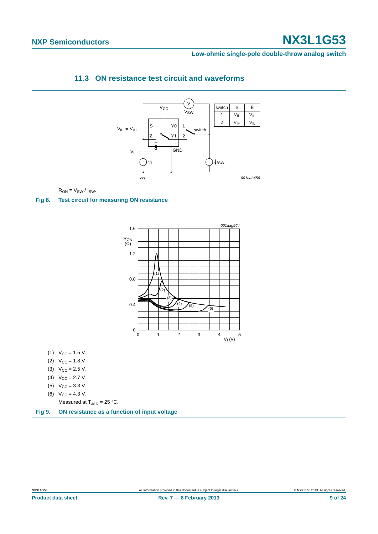**Low-ohmic single-pole double-throw analog switch**



<span id="page-8-2"></span><span id="page-8-1"></span>

Measured at  $T_{amb} = 25 \degree C$ .

<span id="page-8-0"></span>**Fig 9. ON resistance as a function of input voltage**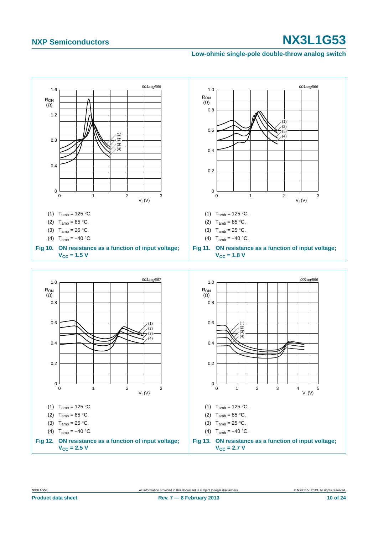**Low-ohmic single-pole double-throw analog switch**

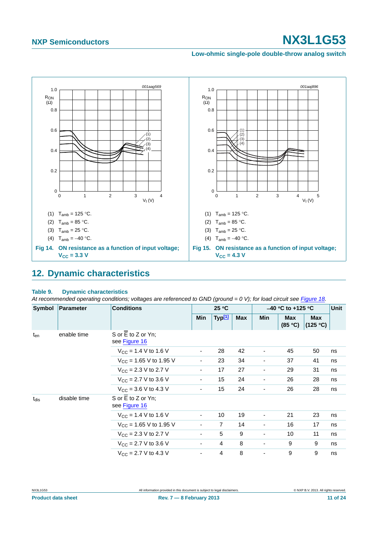**Low-ohmic single-pole double-throw analog switch**



### <span id="page-10-1"></span><span id="page-10-0"></span>**12. Dynamic characteristics**

#### **Table 9. Dynamic characteristics**

At recommended operating conditions; voltages are referenced to GND (ground = 0 V); for load circuit see [Figure 18.](#page-12-0)

| <b>Symbol</b> | Parameter    | <b>Conditions</b>                   |                          | 25 °C              |     | $-40$ °C to +125 °C      |                       |                        | <b>Unit</b> |
|---------------|--------------|-------------------------------------|--------------------------|--------------------|-----|--------------------------|-----------------------|------------------------|-------------|
|               |              |                                     | Min                      | Typ <sup>[1]</sup> | Max | <b>Min</b>               | <b>Max</b><br>(85 °C) | <b>Max</b><br>(125 °C) |             |
| $t_{en}$      | enable time  | S or E to Z or Yn;<br>see Figure 16 |                          |                    |     |                          |                       |                        |             |
|               |              | $V_{\rm CC}$ = 1.4 V to 1.6 V       | ۰                        | 28                 | 42  |                          | 45                    | 50                     | ns          |
|               |              | $V_{CC}$ = 1.65 V to 1.95 V         | $\overline{\phantom{a}}$ | 23                 | 34  |                          | 37                    | 41                     | ns          |
|               |              | $V_{CC}$ = 2.3 V to 2.7 V           | ۰.                       | 17                 | 27  | ٠                        | 29                    | 31                     | ns          |
|               |              | $V_{CC}$ = 2.7 V to 3.6 V           | $\overline{\phantom{a}}$ | 15                 | 24  | $\overline{\phantom{a}}$ | 26                    | 28                     | ns          |
|               |              | $V_{CC}$ = 3.6 V to 4.3 V           | $\overline{\phantom{a}}$ | 15                 | 24  | $\overline{\phantom{a}}$ | 26                    | 28                     | ns          |
| $t_{dis}$     | disable time | S or E to Z or Yn;<br>see Figure 16 |                          |                    |     |                          |                       |                        |             |
|               |              | $V_{CC}$ = 1.4 V to 1.6 V           | ۰                        | 10                 | 19  | $\overline{\phantom{a}}$ | 21                    | 23                     | ns          |
|               |              | $V_{CC}$ = 1.65 V to 1.95 V         | $\blacksquare$           | $\overline{7}$     | 14  | $\overline{\phantom{a}}$ | 16                    | 17                     | ns          |
|               |              | $V_{\text{CC}}$ = 2.3 V to 2.7 V    | $\overline{\phantom{a}}$ | 5                  | 9   | $\overline{\phantom{0}}$ | 10                    | 11                     | ns          |
|               |              | $V_{\rm CC}$ = 2.7 V to 3.6 V       | ۰.                       | 4                  | 8   | ۰                        | 9                     | 9                      | ns          |
|               |              | $V_{CC}$ = 2.7 V to 4.3 V           | $\overline{\phantom{a}}$ | $\overline{4}$     | 8   | $\overline{\phantom{a}}$ | 9                     | 9                      | ns          |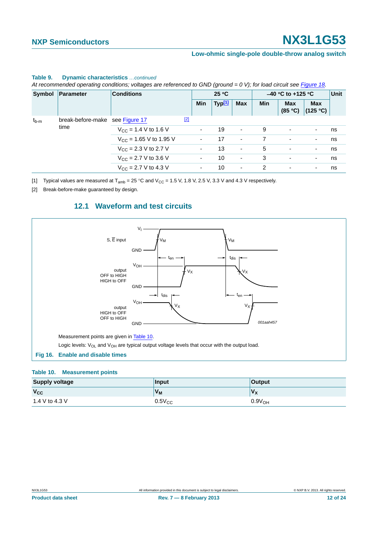#### **Low-ohmic single-pole double-throw analog switch**

|           | Symbol   Parameter              | <b>Conditions</b>                        |             | 25 °C      |                    |                          | $-40$ °C to +125 °C | Unit                     |                                    |    |
|-----------|---------------------------------|------------------------------------------|-------------|------------|--------------------|--------------------------|---------------------|--------------------------|------------------------------------|----|
|           |                                 |                                          |             | <b>Min</b> | Typ <sup>[1]</sup> | <b>Max</b>               | Min                 | <b>Max</b>               | <b>Max</b><br>$(85 °C)$ $(125 °C)$ |    |
| $t_{b-m}$ | break-before-make see Figure 17 |                                          | $\boxed{2}$ |            |                    |                          |                     |                          |                                    |    |
|           | time                            | $V_{\text{CC}}$ = 1.4 V to 1.6 V         |             |            | 19                 | $\overline{\phantom{a}}$ | 9                   | ٠                        | $\overline{\phantom{a}}$           | ns |
|           |                                 | $V_{\text{CC}}$ = 1.65 V to 1.95 V       |             | ۰          | 17                 | $\overline{\phantom{a}}$ |                     | $\overline{\phantom{a}}$ | $\overline{\phantom{a}}$           | ns |
|           |                                 | $V_{\text{CC}} = 2.3 \text{ V}$ to 2.7 V |             |            | 13                 | $\overline{\phantom{a}}$ | 5                   | ٠                        | $\overline{\phantom{a}}$           | ns |
|           |                                 | $V_{\rm CC}$ = 2.7 V to 3.6 V            |             | ۰          | 10                 | $\overline{\phantom{a}}$ | 3                   | ۰                        | $\overline{\phantom{a}}$           | ns |
|           |                                 | $V_{\text{CC}}$ = 2.7 V to 4.3 V         |             | ۰          | 10                 | $\overline{\phantom{a}}$ | 2                   | ٠                        | $\overline{\phantom{a}}$           | ns |

#### **Table 9. Dynamic characteristics** *…continued*

*At recommended operating conditions; voltages are referenced to GND (ground = 0 V); for load circuit see Figure 18.*

<span id="page-11-0"></span>[1] Typical values are measured at  $T_{amb} = 25 \degree C$  and  $V_{CC} = 1.5$  V, 1.8 V, 2.5 V, 3.3 V and 4.3 V respectively.

<span id="page-11-4"></span><span id="page-11-2"></span>[2] Break-before-make guaranteed by design.

### **12.1 Waveform and test circuits**



#### <span id="page-11-3"></span><span id="page-11-1"></span>**Table 10. Measurement points**

| <b>Supply voltage</b> | Input          | <b>Output</b>      |
|-----------------------|----------------|--------------------|
| $V_{\rm CC}$          | V <sub>M</sub> | $V_{\mathsf{X}}$   |
| 1.4 V to 4.3 V        | $0.5V_{CC}$    | 0.9V <sub>OH</sub> |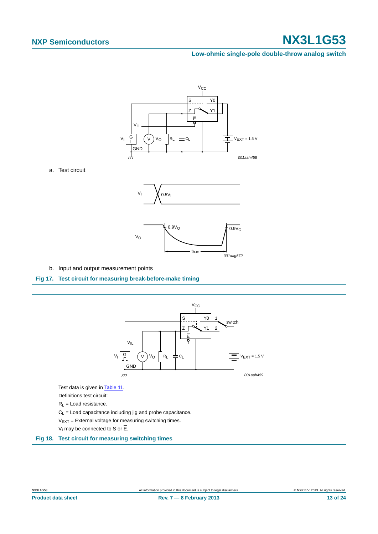#### **Low-ohmic single-pole double-throw analog switch**



<span id="page-12-1"></span>

<span id="page-12-0"></span>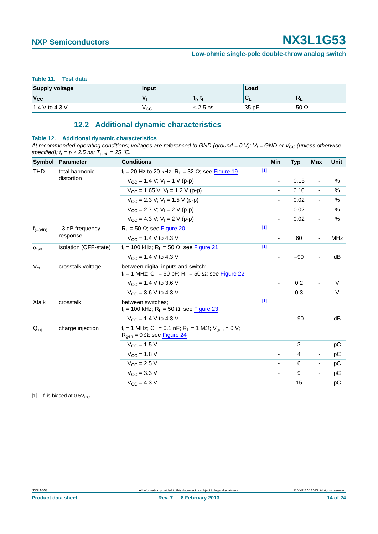#### <span id="page-13-0"></span>**Table 11. Test data**

| <b>Supply voltage</b> | Input |                                 | Load  |             |
|-----------------------|-------|---------------------------------|-------|-------------|
| $V_{CC}$              | v     | $\mathbf{u}_{\mathbf{r}},$<br>м | ∼     | 'NЦ         |
| 1.4 V to 4.3 V        | ∨сс   | $\leq$ 2.5 ns                   | 35 pF | $50 \Omega$ |

### **12.2 Additional dynamic characteristics**

#### <span id="page-13-2"></span>**Table 12. Additional dynamic characteristics**

At recommended operating conditions; voltages are referenced to GND (ground = 0 V);  $V_1$  = GND or  $V_{CC}$  (unless otherwise specified);  $t_r = t_f \le 2.5$  ns;  $T_{amb} = 25$  °C.

| Symbol                  | <b>Parameter</b>              | <b>Conditions</b>                                                                                                                       | Min                      | <b>Typ</b> | Max                      | Unit       |
|-------------------------|-------------------------------|-----------------------------------------------------------------------------------------------------------------------------------------|--------------------------|------------|--------------------------|------------|
| <b>THD</b>              | total harmonic<br>distortion  | $f_i = 20$ Hz to 20 kHz; $R_i = 32 \Omega$ ; see Figure 19                                                                              | $\boxed{1}$              |            |                          |            |
|                         |                               | $V_{CC}$ = 1.4 V; V <sub>1</sub> = 1 V (p-p)                                                                                            |                          | 0.15       | $\overline{\phantom{a}}$ | $\%$       |
|                         |                               | $V_{CC}$ = 1.65 V; V <sub>1</sub> = 1.2 V (p-p)                                                                                         | $\overline{\phantom{a}}$ | 0.10       | $\blacksquare$           | $\%$       |
|                         |                               | $V_{\text{CC}}$ = 2.3 V; V <sub>I</sub> = 1.5 V (p-p)                                                                                   |                          | 0.02       | $\overline{\phantom{a}}$ | $\%$       |
|                         |                               | $V_{\rm CC}$ = 2.7 V; V <sub>1</sub> = 2 V (p-p)                                                                                        |                          | 0.02       | $\overline{\phantom{a}}$ | %          |
|                         |                               | $V_{\rm CC} = 4.3$ V; V <sub>1</sub> = 2 V (p-p)                                                                                        |                          | 0.02       | $\overline{\phantom{a}}$ | $\%$       |
| $f_{(-3dB)}$            | $-3$ dB frequency<br>response | $R_L$ = 50 $\Omega$ ; see Figure 20                                                                                                     | $\boxed{1}$              |            |                          |            |
|                         |                               | $V_{CC}$ = 1.4 V to 4.3 V                                                                                                               | ٠                        | 60         | $\blacksquare$           | <b>MHz</b> |
| $\alpha$ <sub>iso</sub> | isolation (OFF-state)         | $f_i = 100$ kHz; R <sub>L</sub> = 50 $\Omega$ ; see Figure 21                                                                           | $[1]$                    |            |                          |            |
|                         |                               | $V_{CC}$ = 1.4 V to 4.3 V                                                                                                               |                          | $-90$      | $\overline{\phantom{a}}$ | dB         |
| $V_{ct}$                | crosstalk voltage             | between digital inputs and switch;<br>$f_i = 1$ MHz; C <sub>L</sub> = 50 pF; R <sub>L</sub> = 50 $\Omega$ ; see Figure 22               |                          |            |                          |            |
|                         |                               | $V_{CC}$ = 1.4 V to 3.6 V                                                                                                               |                          | 0.2        | $\blacksquare$           | $\vee$     |
|                         |                               | $V_{CC}$ = 3.6 V to 4.3 V                                                                                                               |                          | 0.3        | $\blacksquare$           | V          |
| <b>Xtalk</b>            | crosstalk                     | between switches:<br>$f_i$ = 100 kHz; R <sub>L</sub> = 50 $\Omega$ ; see Figure 23                                                      | $[1]$                    |            |                          |            |
|                         |                               | $V_{CC}$ = 1.4 V to 4.3 V                                                                                                               |                          | $-90$      | $\blacksquare$           | dB         |
| $Q_{\text{inj}}$        | charge injection              | $f_i = 1$ MHz; C <sub>L</sub> = 0.1 nF; R <sub>L</sub> = 1 M $\Omega$ ; V <sub>gen</sub> = 0 V;<br>$R_{gen} = 0 \Omega$ ; see Figure 24 |                          |            |                          |            |
|                         |                               | $V_{CC}$ = 1.5 V                                                                                                                        |                          | 3          | $\overline{\phantom{a}}$ | рC         |
|                         |                               | $V_{\text{CC}} = 1.8 \text{ V}$                                                                                                         |                          | 4          | $\overline{\phantom{a}}$ | рC         |
|                         |                               | $V_{\rm CC}$ = 2.5 V                                                                                                                    | $\overline{\phantom{a}}$ | 6          | $\overline{\phantom{a}}$ | pC         |
|                         |                               | $V_{\text{CC}} = 3.3 \text{ V}$                                                                                                         | $\overline{\phantom{a}}$ | 9          | $\overline{\phantom{a}}$ | рC         |
|                         |                               | $V_{\text{CC}} = 4.3 V$                                                                                                                 | $\overline{\phantom{a}}$ | 15         | $\blacksquare$           | рC         |

<span id="page-13-1"></span>[1]  $f_i$  is biased at 0.5 $V_{CC}$ .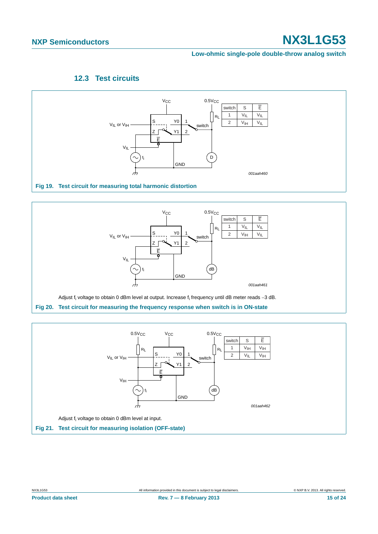**Low-ohmic single-pole double-throw analog switch**

### **12.3 Test circuits**

<span id="page-14-3"></span>

<span id="page-14-0"></span>

<span id="page-14-1"></span>

<span id="page-14-2"></span>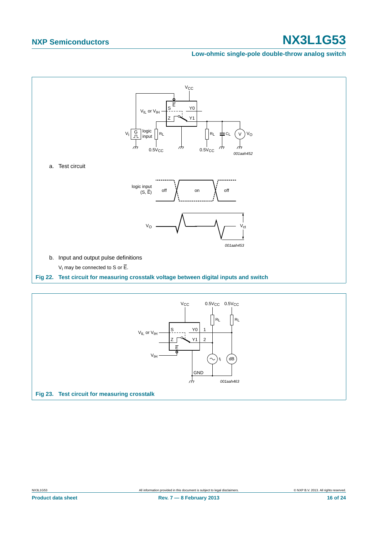#### **Low-ohmic single-pole double-throw analog switch**



<span id="page-15-1"></span><span id="page-15-0"></span>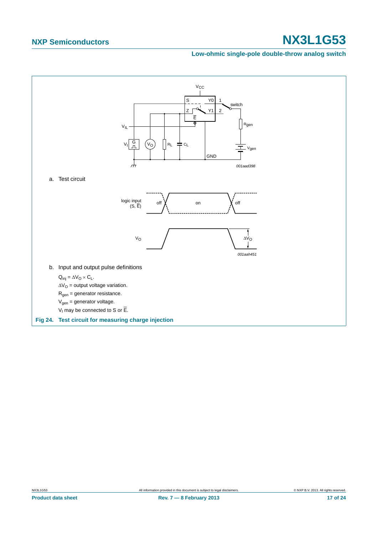#### **Low-ohmic single-pole double-throw analog switch**



<span id="page-16-0"></span>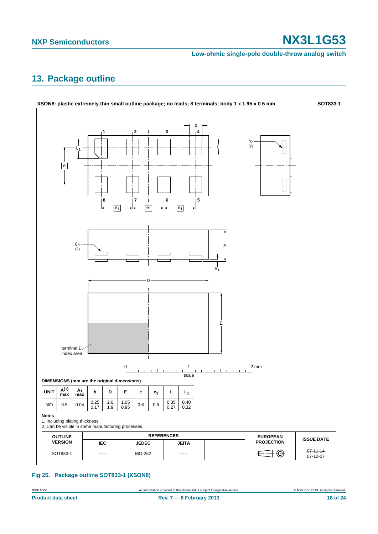#### **Low-ohmic single-pole double-throw analog switch**

### <span id="page-17-0"></span>**13. Package outline**



### **Fig 25. Package outline SOT833-1 (XSON8)**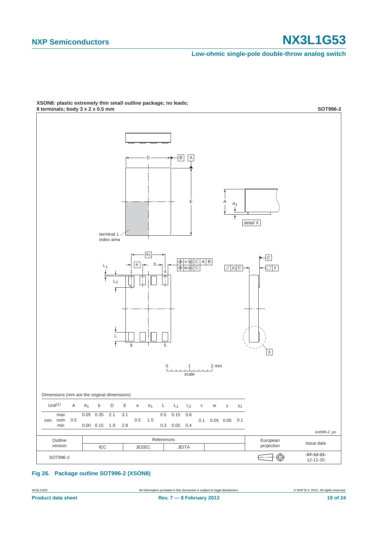**Low-ohmic single-pole double-throw analog switch**



### **XSON8: plastic extremely thin small outline package; no leads;**

**Fig 26. Package outline SOT996-2 (XSON8)**

NX3L1G53 All information provided in this document is subject to legal disclaimers. © NXP B.V. 2013. All rights reserved.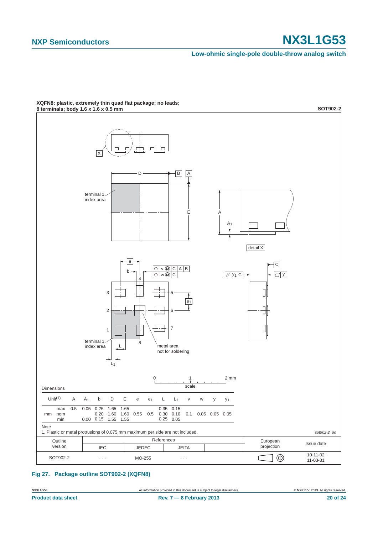**Low-ohmic single-pole double-throw analog switch**



**XQFN8: plastic, extremely thin quad flat package; no leads;**

#### **Fig 27. Package outline SOT902-2 (XQFN8)**

NX3L1G53 All information provided in this document is subject to legal disclaimers. © NXP B.V. 2013. All rights reserved.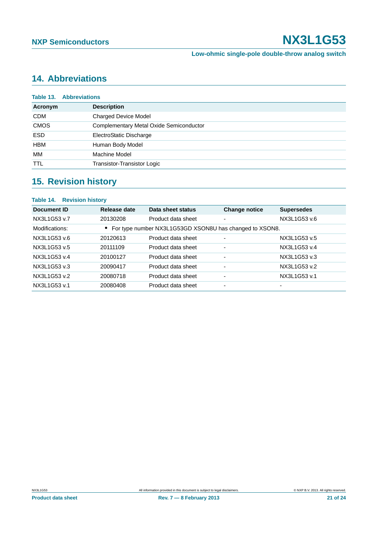## <span id="page-20-0"></span>**14. Abbreviations**

|             | <b>Table 13. Abbreviations</b>          |  |  |
|-------------|-----------------------------------------|--|--|
| Acronym     | <b>Description</b>                      |  |  |
| <b>CDM</b>  | <b>Charged Device Model</b>             |  |  |
| <b>CMOS</b> | Complementary Metal Oxide Semiconductor |  |  |
| <b>ESD</b>  | ElectroStatic Discharge                 |  |  |
| <b>HBM</b>  | Human Body Model                        |  |  |
| МM          | Machine Model                           |  |  |
| <b>TTL</b>  | Transistor-Transistor Logic             |  |  |

## <span id="page-20-1"></span>**15. Revision history**

| Table 14. Revision history |                    |                      |                                                           |
|----------------------------|--------------------|----------------------|-----------------------------------------------------------|
| Release date               | Data sheet status  | <b>Change notice</b> | <b>Supersedes</b>                                         |
| 20130208                   | Product data sheet |                      | NX3L1G53 v.6                                              |
|                            |                    |                      |                                                           |
| 20120613                   | Product data sheet |                      | NX3L1G53 v.5                                              |
| 20111109                   | Product data sheet |                      | NX3L1G53 v.4                                              |
| 20100127                   | Product data sheet | ۰                    | NX3L1G53 v.3                                              |
| 20090417                   | Product data sheet | ۰                    | NX3L1G53 v.2                                              |
| 20080718                   | Product data sheet |                      | NX3L1G53 v.1                                              |
| 20080408                   | Product data sheet | ۰                    | $\overline{\phantom{0}}$                                  |
|                            |                    |                      | • For type number NX3L1G53GD XSON8U has changed to XSON8. |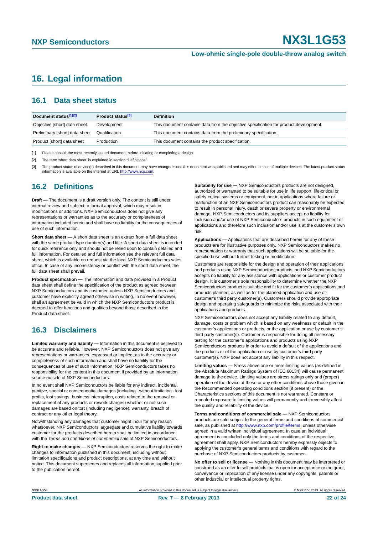### <span id="page-21-0"></span>**16. Legal information**

### <span id="page-21-1"></span>**16.1 Data sheet status**

| Document status[1][2]          | <b>Product status</b> <sup>[3]</sup> | <b>Definition</b>                                                                     |
|--------------------------------|--------------------------------------|---------------------------------------------------------------------------------------|
| Objective [short] data sheet   | Development                          | This document contains data from the objective specification for product development. |
| Preliminary [short] data sheet | Qualification                        | This document contains data from the preliminary specification.                       |
| Product [short] data sheet     | Production                           | This document contains the product specification.                                     |

[1] Please consult the most recently issued document before initiating or completing a design.

[2] The term 'short data sheet' is explained in section "Definitions".

[3] The product status of device(s) described in this document may have changed since this document was published and may differ in case of multiple devices. The latest product status<br>information is available on the Intern

### <span id="page-21-2"></span>**16.2 Definitions**

**Draft —** The document is a draft version only. The content is still under internal review and subject to formal approval, which may result in modifications or additions. NXP Semiconductors does not give any representations or warranties as to the accuracy or completeness of information included herein and shall have no liability for the consequences of use of such information.

**Short data sheet —** A short data sheet is an extract from a full data sheet with the same product type number(s) and title. A short data sheet is intended for quick reference only and should not be relied upon to contain detailed and full information. For detailed and full information see the relevant full data sheet, which is available on request via the local NXP Semiconductors sales office. In case of any inconsistency or conflict with the short data sheet, the full data sheet shall prevail.

**Product specification —** The information and data provided in a Product data sheet shall define the specification of the product as agreed between NXP Semiconductors and its customer, unless NXP Semiconductors and customer have explicitly agreed otherwise in writing. In no event however, shall an agreement be valid in which the NXP Semiconductors product is deemed to offer functions and qualities beyond those described in the Product data sheet.

### <span id="page-21-3"></span>**16.3 Disclaimers**

**Limited warranty and liability —** Information in this document is believed to be accurate and reliable. However, NXP Semiconductors does not give any representations or warranties, expressed or implied, as to the accuracy or completeness of such information and shall have no liability for the consequences of use of such information. NXP Semiconductors takes no responsibility for the content in this document if provided by an information source outside of NXP Semiconductors.

In no event shall NXP Semiconductors be liable for any indirect, incidental, punitive, special or consequential damages (including - without limitation - lost profits, lost savings, business interruption, costs related to the removal or replacement of any products or rework charges) whether or not such damages are based on tort (including negligence), warranty, breach of contract or any other legal theory.

Notwithstanding any damages that customer might incur for any reason whatsoever, NXP Semiconductors' aggregate and cumulative liability towards customer for the products described herein shall be limited in accordance with the *Terms and conditions of commercial sale* of NXP Semiconductors.

**Right to make changes —** NXP Semiconductors reserves the right to make changes to information published in this document, including without limitation specifications and product descriptions, at any time and without notice. This document supersedes and replaces all information supplied prior to the publication hereof.

**Suitability for use —** NXP Semiconductors products are not designed, authorized or warranted to be suitable for use in life support, life-critical or safety-critical systems or equipment, nor in applications where failure or malfunction of an NXP Semiconductors product can reasonably be expected to result in personal injury, death or severe property or environmental damage. NXP Semiconductors and its suppliers accept no liability for inclusion and/or use of NXP Semiconductors products in such equipment or applications and therefore such inclusion and/or use is at the customer's own risk.

**Applications —** Applications that are described herein for any of these products are for illustrative purposes only. NXP Semiconductors makes no representation or warranty that such applications will be suitable for the specified use without further testing or modification.

Customers are responsible for the design and operation of their applications and products using NXP Semiconductors products, and NXP Semiconductors accepts no liability for any assistance with applications or customer product design. It is customer's sole responsibility to determine whether the NXP Semiconductors product is suitable and fit for the customer's applications and products planned, as well as for the planned application and use of customer's third party customer(s). Customers should provide appropriate design and operating safeguards to minimize the risks associated with their applications and products.

NXP Semiconductors does not accept any liability related to any default. damage, costs or problem which is based on any weakness or default in the customer's applications or products, or the application or use by customer's third party customer(s). Customer is responsible for doing all necessary testing for the customer's applications and products using NXP Semiconductors products in order to avoid a default of the applications and the products or of the application or use by customer's third party customer(s). NXP does not accept any liability in this respect.

**Limiting values —** Stress above one or more limiting values (as defined in the Absolute Maximum Ratings System of IEC 60134) will cause permanent damage to the device. Limiting values are stress ratings only and (proper) operation of the device at these or any other conditions above those given in the Recommended operating conditions section (if present) or the Characteristics sections of this document is not warranted. Constant or repeated exposure to limiting values will permanently and irreversibly affect the quality and reliability of the device.

**Terms and conditions of commercial sale —** NXP Semiconductors products are sold subject to the general terms and conditions of commercial sale, as published at<http://www.nxp.com/profile/terms>, unless otherwise agreed in a valid written individual agreement. In case an individual agreement is concluded only the terms and conditions of the respective agreement shall apply. NXP Semiconductors hereby expressly objects to applying the customer's general terms and conditions with regard to the purchase of NXP Semiconductors products by customer.

**No offer to sell or license —** Nothing in this document may be interpreted or construed as an offer to sell products that is open for acceptance or the grant, conveyance or implication of any license under any copyrights, patents or other industrial or intellectual property rights.

NX3L1G53 All information provided in this document is subject to legal disclaimers. © NXP B.V. 2013. All rights reserved.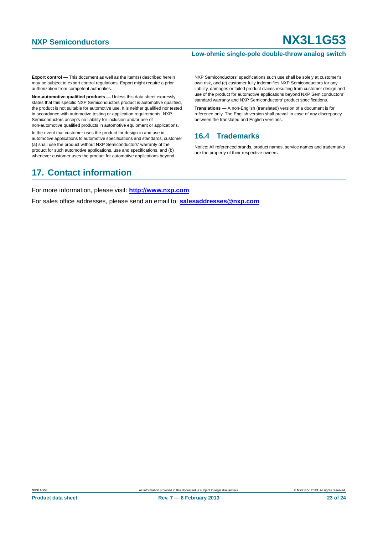#### **Low-ohmic single-pole double-throw analog switch**

**Export control —** This document as well as the item(s) described herein may be subject to export control regulations. Export might require a prior authorization from competent authorities.

**Non-automotive qualified products —** Unless this data sheet expressly states that this specific NXP Semiconductors product is automotive qualified, the product is not suitable for automotive use. It is neither qualified nor tested in accordance with automotive testing or application requirements. NXP Semiconductors accepts no liability for inclusion and/or use of non-automotive qualified products in automotive equipment or applications.

In the event that customer uses the product for design-in and use in automotive applications to automotive specifications and standards, customer (a) shall use the product without NXP Semiconductors' warranty of the product for such automotive applications, use and specifications, and (b) whenever customer uses the product for automotive applications beyond

NXP Semiconductors' specifications such use shall be solely at customer's own risk, and (c) customer fully indemnifies NXP Semiconductors for any liability, damages or failed product claims resulting from customer design and use of the product for automotive applications beyond NXP Semiconductors' standard warranty and NXP Semiconductors' product specifications.

**Translations —** A non-English (translated) version of a document is for reference only. The English version shall prevail in case of any discrepancy between the translated and English versions.

### <span id="page-22-0"></span>**16.4 Trademarks**

Notice: All referenced brands, product names, service names and trademarks are the property of their respective owners.

### <span id="page-22-1"></span>**17. Contact information**

For more information, please visit: **http://www.nxp.com**

For sales office addresses, please send an email to: **salesaddresses@nxp.com**